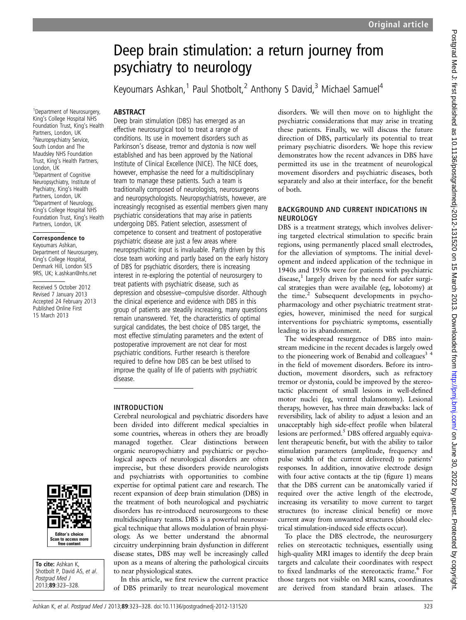# Deep brain stimulation: a return journey from psychiatry to neurology

Keyoumars Ashkan,<sup>1</sup> Paul Shotbolt,<sup>2</sup> Anthony S David,<sup>3</sup> Michael Samuel<sup>4</sup>

#### ABSTRACT

1 Department of Neurosurgery, King's College Hospital NHS Foundation Trust, King's Health Partners, London, UK <sup>2</sup>Neuropsychiatry Service, South London and The Maudsley NHS Foundation Trust, King's Health Partners, London, UK <sup>3</sup>Department of Cognitive Neuropsychiatry, Institute of Psychiatry, King's Health Partners, London, UK 4 Department of Neurology, King's College Hospital NHS Foundation Trust, King's Health Partners, London, UK

#### Correspondence to

Keyoumars Ashkan, Department of Neurosurgery, King's College Hospital, Denmark Hill, London SE5 9RS, UK; k.ashkan@nhs.net

Received 5 October 2012 Revised 7 January 2013 Accepted 24 February 2013 Published Online First 15 March 2013



To cite: Ashkan K. Shotbolt P, David AS, et al. Postgrad Med J 2013;89:323–328.

### Deep brain stimulation (DBS) has emerged as an effective neurosurgical tool to treat a range of conditions. Its use in movement disorders such as Parkinson's disease, tremor and dystonia is now well established and has been approved by the National Institute of Clinical Excellence (NICE). The NICE does, however, emphasise the need for a multidisciplinary team to manage these patients. Such a team is traditionally composed of neurologists, neurosurgeons and neuropsychologists. Neuropsychiatrists, however, are increasingly recognised as essential members given many psychiatric considerations that may arise in patients undergoing DBS. Patient selection, assessment of competence to consent and treatment of postoperative psychiatric disease are just a few areas where neuropsychiatric input is invaluable. Partly driven by this close team working and partly based on the early history of DBS for psychiatric disorders, there is increasing interest in re-exploring the potential of neurosurgery to treat patients with psychiatric disease, such as depression and obsessive–compulsive disorder. Although the clinical experience and evidence with DBS in this group of patients are steadily increasing, many questions remain unanswered. Yet, the characteristics of optimal surgical candidates, the best choice of DBS target, the most effective stimulating parameters and the extent of postoperative improvement are not clear for most psychiatric conditions. Further research is therefore

required to define how DBS can be best utilised to improve the quality of life of patients with psychiatric disease.

## INTRODUCTION

Cerebral neurological and psychiatric disorders have been divided into different medical specialties in some countries, whereas in others they are broadly managed together. Clear distinctions between organic neuropsychiatry and psychiatric or psychological aspects of neurological disorders are often imprecise, but these disorders provide neurologists and psychiatrists with opportunities to combine expertise for optimal patient care and research. The recent expansion of deep brain stimulation (DBS) in the treatment of both neurological and psychiatric disorders has re-introduced neurosurgeons to these multidisciplinary teams. DBS is a powerful neurosurgical technique that allows modulation of brain physiology. As we better understand the abnormal circuitry underpinning brain dysfunction in different disease states, DBS may well be increasingly called upon as a means of altering the pathological circuits to near physiological states.

In this article, we first review the current practice of DBS primarily to treat neurological movement disorders. We will then move on to highlight the psychiatric considerations that may arise in treating these patients. Finally, we will discuss the future direction of DBS, particularly its potential to treat primary psychiatric disorders. We hope this review demonstrates how the recent advances in DBS have permitted its use in the treatment of neurological movement disorders and psychiatric diseases, both separately and also at their interface, for the benefit of both.

## BACKGROUND AND CURRENT INDICATIONS IN NEUROLOGY

DBS is a treatment strategy, which involves delivering targeted electrical stimulation to specific brain regions, using permanently placed small electrodes, for the alleviation of symptoms. The initial development and indeed application of the technique in 1940s and 1950s were for patients with psychiatric disease, $\frac{1}{1}$  largely driven by the need for safer surgical strategies than were available (eg, lobotomy) at the time. $\alpha$  Subsequent developments in psychopharmacology and other psychiatric treatment strategies, however, minimised the need for surgical interventions for psychiatric symptoms, essentially leading to its abandonment.

The widespread resurgence of DBS into mainstream medicine in the recent decades is largely owed to the pioneering work of Benabid and colleagues $3$ in the field of movement disorders. Before its introduction, movement disorders, such as refractory tremor or dystonia, could be improved by the stereotactic placement of small lesions in well-defined motor nuclei (eg, ventral thalamotomy). Lesional therapy, however, has three main drawbacks: lack of reversibility, lack of ability to adjust a lesion and an unacceptably high side-effect profile when bilateral lesions are performed.<sup>5</sup> DBS offered arguably equivalent therapeutic benefit, but with the ability to tailor stimulation parameters (amplitude, frequency and pulse width of the current delivered) to patients' responses. In addition, innovative electrode design with four active contacts at the tip (figure 1) means that the DBS current can be anatomically varied if required over the active length of the electrode, increasing its versatility to move current to target structures (to increase clinical benefit) or move current away from unwanted structures (should electrical stimulation-induced side effects occur).

To place the DBS electrode, the neurosurgery relies on stereotactic techniques, essentially using high-quality MRI images to identify the deep brain targets and calculate their coordinates with respect to fixed landmarks of the stereotactic frame.<sup>6</sup> For those targets not visible on MRI scans, coordinates are derived from standard brain atlases. The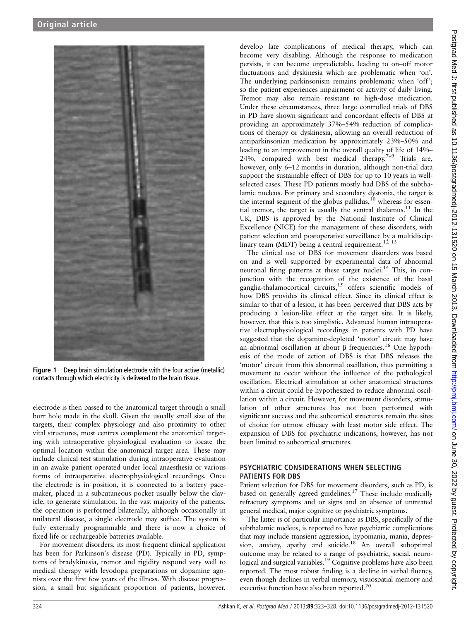

Figure 1 Deep brain stimulation electrode with the four active (metallic) contacts through which electricity is delivered to the brain tissue.

electrode is then passed to the anatomical target through a small burr hole made in the skull. Given the usually small size of the targets, their complex physiology and also proximity to other vital structures, most centres complement the anatomical targeting with intraoperative physiological evaluation to locate the optimal location within the anatomical target area. These may include clinical test stimulation during intraoperative evaluation in an awake patient operated under local anaesthesia or various forms of intraoperative electrophysiological recordings. Once the electrode is in position, it is connected to a battery pacemaker, placed in a subcutaneous pocket usually below the clavicle, to generate stimulation. In the vast majority of the patients, the operation is performed bilaterally; although occasionally in unilateral disease, a single electrode may suffice. The system is fully externally programmable and there is now a choice of fixed life or rechargeable batteries available.

For movement disorders, its most frequent clinical application has been for Parkinson's disease (PD). Typically in PD, symptoms of bradykinesia, tremor and rigidity respond very well to medical therapy with levodopa preparations or dopamine agonists over the first few years of the illness. With disease progression, a small but significant proportion of patients, however,

develop late complications of medical therapy, which can become very disabling. Although the response to medication persists, it can become unpredictable, leading to on–off motor fluctuations and dyskinesia which are problematic when 'on'. The underlying parkinsonism remains problematic when 'off'; so the patient experiences impairment of activity of daily living. Tremor may also remain resistant to high-dose medication. Under these circumstances, three large controlled trials of DBS in PD have shown significant and concordant effects of DBS at providing an approximately 37%–54% reduction of complications of therapy or dyskinesia, allowing an overall reduction of antiparkinsonian medication by approximately 23%–50% and leading to an improvement in the overall quality of life of 14%– 24%, compared with best medical therapy.7–<sup>9</sup> Trials are, however, only 6–12 months in duration, although non-trial data support the sustainable effect of DBS for up to 10 years in wellselected cases. These PD patients mostly had DBS of the subthalamic nucleus. For primary and secondary dystonia, the target is the internal segment of the globus pallidus, $10$  whereas for essential tremor, the target is usually the ventral thalamus.<sup>11</sup> In the UK, DBS is approved by the National Institute of Clinical Excellence (NICE) for the management of these disorders, with patient selection and postoperative surveillance by a multidisciplinary team (MDT) being a central requirement.<sup>12 13</sup>

The clinical use of DBS for movement disorders was based on and is well supported by experimental data of abnormal neuronal firing patterns at these target nuclei.<sup>14</sup> This, in conjunction with the recognition of the existence of the basal ganglia-thalamocortical circuits,<sup>15</sup> offers scientific models of how DBS provides its clinical effect. Since its clinical effect is similar to that of a lesion, it has been perceived that DBS acts by producing a lesion-like effect at the target site. It is likely, however, that this is too simplistic. Advanced human intraoperative electrophysiological recordings in patients with PD have suggested that the dopamine-depleted 'motor' circuit may have an abnormal oscillation at about β frequencies.<sup>16</sup> One hypothesis of the mode of action of DBS is that DBS releases the 'motor' circuit from this abnormal oscillation, thus permitting a movement to occur without the influence of the pathological oscillation. Electrical stimulation at other anatomical structures within a circuit could be hypothesized to reduce abnormal oscillation within a circuit. However, for movement disorders, stimulation of other structures has not been performed with significant success and the subcortical structures remain the sites of choice for utmost efficacy with least motor side effect. The expansion of DBS for psychiatric indications, however, has not been limited to subcortical structures.

### PSYCHIATRIC CONSIDERATIONS WHEN SELECTING PATIENTS FOR DBS

Patient selection for DBS for movement disorders, such as PD, is based on generally agreed guidelines.<sup>17</sup> These include medically refractory symptoms and or signs and an absence of untreated general medical, major cognitive or psychiatric symptoms.

The latter is of particular importance as DBS, specifically of the subthalamic nucleus, is reported to have psychiatric complications that may include transient aggression, hypomania, mania, depression, anxiety, apathy and suicide.<sup>18</sup> An overall suboptimal outcome may be related to a range of psychiatric, social, neurological and surgical variables.<sup>19</sup> Cognitive problems have also been reported. The most robust finding is a decline in verbal fluency, even though declines in verbal memory, visuospatial memory and executive function have also been reported.<sup>20</sup>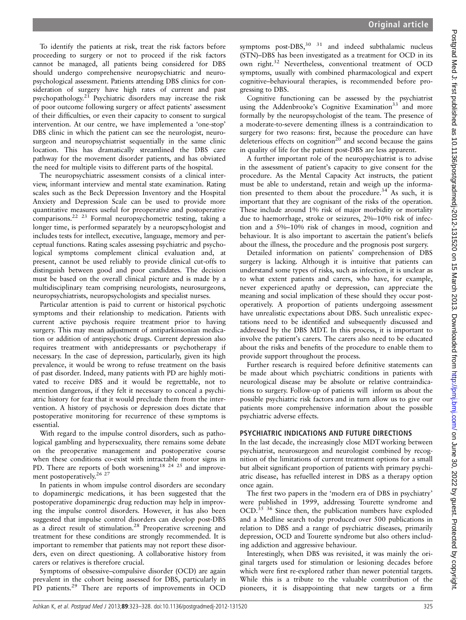To identify the patients at risk, treat the risk factors before proceeding to surgery or not to proceed if the risk factors cannot be managed, all patients being considered for DBS should undergo comprehensive neuropsychiatric and neuropsychological assessment. Patients attending DBS clinics for consideration of surgery have high rates of current and past psychopathology.<sup>21</sup> Psychiatric disorders may increase the risk of poor outcome following surgery or affect patients' assessment of their difficulties, or even their capacity to consent to surgical intervention. At our centre, we have implemented a 'one-stop' DBS clinic in which the patient can see the neurologist, neurosurgeon and neuropsychiatrist sequentially in the same clinic location. This has dramatically streamlined the DBS care pathway for the movement disorder patients, and has obviated the need for multiple visits to different parts of the hospital.

The neuropsychiatric assessment consists of a clinical interview, informant interview and mental state examination. Rating scales such as the Beck Depression Inventory and the Hospital Anxiety and Depression Scale can be used to provide more quantitative measures useful for preoperative and postoperative comparisons.22 23 Formal neuropsychometric testing, taking a longer time, is performed separately by a neuropscyhologist and includes tests for intellect, executive, language, memory and perceptual functions. Rating scales assessing psychiatric and psychological symptoms complement clinical evaluation and, at present, cannot be used reliably to provide clinical cut-offs to distinguish between good and poor candidates. The decision must be based on the overall clinical picture and is made by a multidisciplinary team comprising neurologists, neurosurgeons, neuropsychiatrists, neuropsychologists and specialist nurses.

Particular attention is paid to current or historical psychotic symptoms and their relationship to medication. Patients with current active psychosis require treatment prior to having surgery. This may mean adjustment of antiparkinsonian medication or addition of antipsychotic drugs. Current depression also requires treatment with antidepressants or psychotherapy if necessary. In the case of depression, particularly, given its high prevalence, it would be wrong to refuse treatment on the basis of past disorder. Indeed, many patients with PD are highly motivated to receive DBS and it would be regrettable, not to mention dangerous, if they felt it necessary to conceal a psychiatric history for fear that it would preclude them from the intervention. A history of psychosis or depression does dictate that postoperative monitoring for recurrence of these symptoms is essential.

With regard to the impulse control disorders, such as pathological gambling and hypersexuality, there remains some debate on the preoperative management and postoperative course when these conditions co-exist with intractable motor signs in PD. There are reports of both worsening<sup>18 24 25</sup> and improvement postoperatively.<sup>26 27</sup>

In patients in whom impulse control disorders are secondary to dopaminergic medications, it has been suggested that the postoperative dopaminergic drug reduction may help in improving the impulse control disorders. However, it has also been suggested that impulse control disorders can develop post-DBS as a direct result of stimulation.<sup>28</sup> Preoperative screening and treatment for these conditions are strongly recommended. It is important to remember that patients may not report these disorders, even on direct questioning. A collaborative history from carers or relatives is therefore crucial.

Symptoms of obsessive–compulsive disorder (OCD) are again prevalent in the cohort being assessed for DBS, particularly in PD patients.<sup>29</sup> There are reports of improvements in OCD

symptoms post-DBS, $30^{31}$  and indeed subthalamic nucleus (STN)–DBS has been investigated as a treatment for OCD in its own right.<sup>32</sup> Nevertheless, conventional treatment of OCD symptoms, usually with combined pharmacological and expert cognitive–behavioural therapies, is recommended before progressing to DBS.

Cognitive functioning can be assessed by the psychiatrist using the Addenbrooke's Cognitive Examination<sup>33</sup> and more formally by the neuropsychologist of the team. The presence of a moderate-to-severe dementing illness is a contraindication to surgery for two reasons: first, because the procedure can have deleterious effects on cognition<sup>20</sup> and second because the gains in quality of life for the patient post-DBS are less apparent.

A further important role of the neuropsychiatrist is to advise in the assessment of patient's capacity to give consent for the procedure. As the Mental Capacity Act instructs, the patient must be able to understand, retain and weigh up the information presented to them about the procedure.<sup>34</sup> As such, it is important that they are cognisant of the risks of the operation. These include around 1% risk of major morbidity or mortality due to haemorrhage, stroke or seizures, 2%–10% risk of infection and a 5%–10% risk of changes in mood, cognition and behaviour. It is also important to ascertain the patient's beliefs about the illness, the procedure and the prognosis post surgery.

Detailed information on patients' comprehension of DBS surgery is lacking. Although it is intuitive that patients can understand some types of risks, such as infection, it is unclear as to what extent patients and carers, who have, for example, never experienced apathy or depression, can appreciate the meaning and social implication of these should they occur postoperatively. A proportion of patients undergoing assessment have unrealistic expectations about DBS. Such unrealistic expectations need to be identified and subsequently discussed and addressed by the DBS MDT. In this process, it is important to involve the patient's carers. The carers also need to be educated about the risks and benefits of the procedure to enable them to provide support throughout the process.

Further research is required before definitive statements can be made about which psychiatric conditions in patients with neurological disease may be absolute or relative contraindications to surgery. Follow-up of patients will inform us about the possible psychiatric risk factors and in turn allow us to give our patients more comprehensive information about the possible psychiatric adverse effects.

## PSYCHIATRIC INDICATIONS AND FUTURE DIRECTIONS

In the last decade, the increasingly close MDT working between psychiatrist, neurosurgeon and neurologist combined by recognition of the limitations of current treatment options for a small but albeit significant proportion of patients with primary psychiatric disease, has refuelled interest in DBS as a therapy option once again.

The first two papers in the 'modern era of DBS in psychiatry' were published in 1999, addressing Tourette syndrome and OCD.<sup>35 36</sup> Since then, the publication numbers have exploded and a Medline search today produced over 500 publications in relation to DBS and a range of psychiatric diseases, primarily depression, OCD and Tourette syndrome but also others including addiction and aggressive behaviour.

Interestingly, when DBS was revisited, it was mainly the original targets used for stimulation or lesioning decades before which were first re-explored rather than newer potential targets. While this is a tribute to the valuable contribution of the pioneers, it is disappointing that new targets or a firm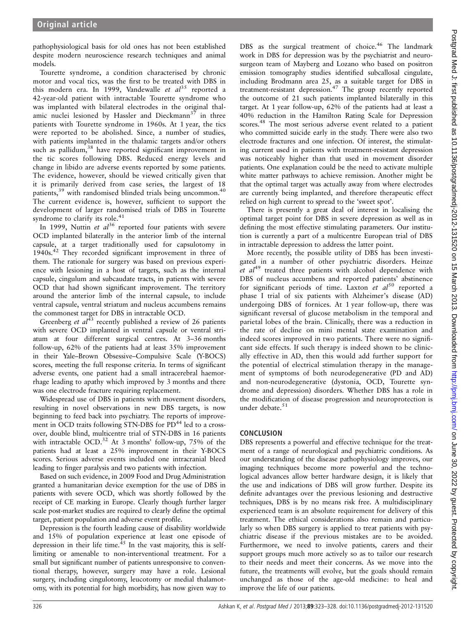pathophysiological basis for old ones has not been established despite modern neuroscience research techniques and animal models.

Tourette syndrome, a condition characterised by chronic motor and vocal tics, was the first to be treated with DBS in this modern era. In 1999, Vandewalle et  $al^{35}$  reported a 42-year-old patient with intractable Tourette syndrome who was implanted with bilateral electrodes in the original thalamic nuclei lesioned by Hassler and Dieckmann<sup>37</sup> in three patients with Tourette syndrome in 1960s. At 1 year, the tics were reported to be abolished. Since, a number of studies, with patients implanted in the thalamic targets and/or others such as pallidum,<sup>38</sup> have reported significant improvement in the tic scores following DBS. Reduced energy levels and change in libido are adverse events reported by some patients. The evidence, however, should be viewed critically given that it is primarily derived from case series, the largest of 18 patients,<sup>39</sup> with randomised blinded trials being uncommon.<sup>40</sup> The current evidence is, however, sufficient to support the development of larger randomised trials of DBS in Tourette syndrome to clarify its role.<sup>41</sup>

In 1999, Nuttin et  $al^{36}$  reported four patients with severe OCD implanted bilaterally in the anterior limb of the internal capsule, at a target traditionally used for capsulotomy in 1940s.42 They recorded significant improvement in three of them. The rationale for surgery was based on previous experience with lesioning in a host of targets, such as the internal capsule, cingulum and subcaudate tracts, in patients with severe OCD that had shown significant improvement. The territory around the anterior limb of the internal capsule, to include ventral capsule, ventral striatum and nucleus accumbens remains the commonest target for DBS in intractable OCD.

Greenberg et  $al^{43}$  recently published a review of 26 patients with severe OCD implanted in ventral capsule or ventral striatum at four different surgical centres. At 3–36 months follow-up, 62% of the patients had at least 35% improvement in their Yale–Brown Obsessive–Compulsive Scale (Y-BOCS) scores, meeting the full response criteria. In terms of significant adverse events, one patient had a small intracerebral haemorrhage leading to apathy which improved by 3 months and there was one electrode fracture requiring replacement.

Widespread use of DBS in patients with movement disorders, resulting in novel observations in new DBS targets, is now beginning to feed back into psychiatry. The reports of improvement in OCD traits following STN-DBS for PD<sup>44</sup> led to a crossover, double blind, multicentre trial of STN-DBS in 16 patients with intractable OCD.<sup>32</sup> At 3 months' follow-up,  $75\%$  of the patients had at least a 25% improvement in their Y-BOCS scores. Serious adverse events included one intracranial bleed leading to finger paralysis and two patients with infection.

Based on such evidence, in 2009 Food and Drug Administration granted a humanitarian device exemption for the use of DBS in patients with severe OCD, which was shortly followed by the receipt of CE marking in Europe. Clearly though further larger scale post-market studies are required to clearly define the optimal target, patient population and adverse event profile.

Depression is the fourth leading cause of disability worldwide and 15% of population experience at least one episode of depression in their life time. $45$  In the vast majority, this is selflimiting or amenable to non-interventional treatment. For a small but significant number of patients unresponsive to conventional therapy, however, surgery may have a role. Lesional surgery, including cingulotomy, leucotomy or medial thalamotomy, with its potential for high morbidity, has now given way to

DBS as the surgical treatment of choice.<sup>46</sup> The landmark work in DBS for depression was by the psychiatrist and neurosurgeon team of Mayberg and Lozano who based on positron emission tomography studies identified subcallosal cingulate, including Brodmann area 25, as a suitable target for DBS in treatment-resistant depression.47 The group recently reported the outcome of 21 such patients implanted bilaterally in this target. At 1 year follow-up, 62% of the patients had at least a 40% reduction in the Hamilton Rating Scale for Depression scores.<sup>48</sup> The most serious adverse event related to a patient who committed suicide early in the study. There were also two electrode fractures and one infection. Of interest, the stimulating current used in patients with treatment-resistant depression was noticeably higher than that used in movement disorder patients. One explanation could be the need to activate multiple white matter pathways to achieve remission. Another might be that the optimal target was actually away from where electrodes are currently being implanted, and therefore therapeutic effect relied on high current to spread to the 'sweet spot'.

There is presently a great deal of interest in localising the optimal target point for DBS in severe depression as well as in defining the most effective stimulating parameters. Our institution is currently a part of a multicentre European trial of DBS in intractable depression to address the latter point.

More recently, the possible utility of DBS has been investigated in a number of other psychiatric disorders. Heinze et  $al^{49}$  treated three patients with alcohol dependence with DBS of nucleus accumbens and reported patients' abstinence for significant periods of time. Laxton  $et$   $al^{50}$  reported a phase I trial of six patients with Alzheimer's disease (AD) undergoing DBS of fornices. At 1 year follow-up, there was significant reversal of glucose metabolism in the temporal and parietal lobes of the brain. Clinically, there was a reduction in the rate of decline on mini mental state examination and indeed scores improved in two patients. There were no significant side effects. If such therapy is indeed shown to be clinically effective in AD, then this would add further support for the potential of electrical stimulation therapy in the management of symptoms of both neurodegenerative (PD and AD) and non-neurodegenerative (dystonia, OCD, Tourette syndrome and depression) disorders. Whether DBS has a role in the modification of disease progression and neuroprotection is under debate. $51$ 

## **CONCLUSION**

DBS represents a powerful and effective technique for the treatment of a range of neurological and psychiatric conditions. As our understanding of the disease pathophysiology improves, our imaging techniques become more powerful and the technological advances allow better hardware design, it is likely that the use and indications of DBS will grow further. Despite its definite advantages over the previous lesioning and destructive techniques, DBS is by no means risk free. A multidisciplinary experienced team is an absolute requirement for delivery of this treatment. The ethical considerations also remain and particularly so when DBS surgery is applied to treat patients with psychiatric disease if the previous mistakes are to be avoided. Furthermore, we need to involve patients, carers and their support groups much more actively so as to tailor our research to their needs and meet their concerns. As we move into the future, the treatments will evolve, but the goals should remain unchanged as those of the age-old medicine: to heal and improve the life of our patients.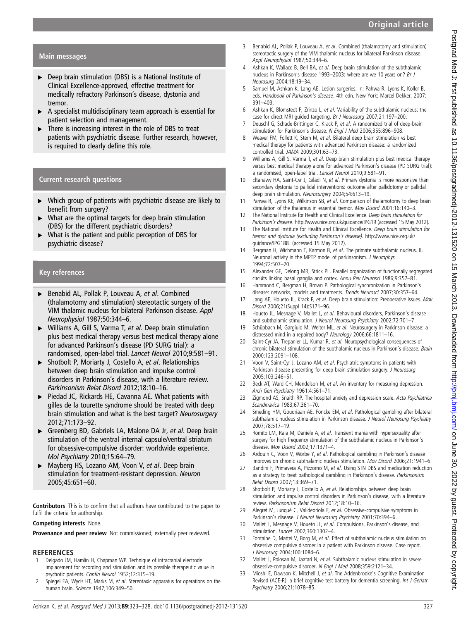### Main messages

- ▸ Deep brain stimulation (DBS) is a National Institute of Clinical Excellence-approved, effective treatment for medically refractory Parkinson's disease, dystonia and tremor.
- $\triangleright$  A specialist multidisciplinary team approach is essential for patient selection and management.
- $\blacktriangleright$  There is increasing interest in the role of DBS to treat patients with psychiatric disease. Further research, however, is required to clearly define this role.

## Current research questions

- ▸ Which group of patients with psychiatric disease are likely to benefit from surgery?
- ▸ What are the optimal targets for deep brain stimulation (DBS) for the different psychiatric disorders?
- ▸ What is the patient and public perception of DBS for psychiatric disease?

## Key references

- ▶ Benabid AL, Pollak P, Louveau A, et al. Combined (thalamotomy and stimulation) stereotactic surgery of the VIM thalamic nucleus for bilateral Parkinson disease. Appl Neurophysiol 1987;50:344–6.
- ▶ Williams A, Gill S, Varma T, et al. Deep brain stimulation plus best medical therapy versus best medical therapy alone for advanced Parkinson's disease (PD SURG trial): a randomised, open-label trial. Lancet Neurol 2010;9:581–91.
- ▶ Shotbolt P, Moriarty J, Costello A, et al. Relationships between deep brain stimulation and impulse control disorders in Parkinson's disease, with a literature review. Parkinsonism Relat Disord 2012;18:10–16.
- ▶ Piedad JC, Rickards HE, Cavanna AE. What patients with gilles de la tourette syndrome should be treated with deep brain stimulation and what is the best target? Neurosurgery 2012;71:173–92.
- ▶ Greenberg BD, Gabriels LA, Malone DA Jr, et al. Deep brain stimulation of the ventral internal capsule/ventral striatum for obsessive-compulsive disorder: worldwide experience. Mol Psychiatry 2010;15:64–79.
- ▶ Mayberg HS, Lozano AM, Voon V, et al. Deep brain stimulation for treatment-resistant depression. Neuron 2005;45:651–60.

Contributors This is to confirm that all authors have contributed to the paper to fulfil the criteria for authorship.

#### Competing interests None.

Provenance and peer review Not commissioned; externally peer reviewed.

#### REFERENCES

- Delgado JM, Hamlin H, Chapman WP. Technique of intracranial electrode implacement for recording and stimulation and its possible therapeutic value in psychotic patients. Confin Neurol 1952;12:315–19.
- 2 Spiegel EA, Wycis HT, Marks M, et al. Stereotaxic apparatus for operations on the human brain. Science 1947;106:349–50.
- 3 Benabid AL, Pollak P, Louveau A, et al. Combined (thalamotomy and stimulation) stereotactic surgery of the VIM thalamic nucleus for bilateral Parkinson disease. Appl Neurophysiol 1987;50:344–6.
- 4 Ashkan K, Wallace B, Bell BA, et al. Deep brain stimulation of the subthalamic nucleus in Parkinson's disease 1993–2003: where are we 10 years on? Br J Neurosurg 2004;18:19–34.
- 5 Samuel M, Ashkan K, Lang AE. Lesion surgeries. In: Pahwa R, Lyons K, Koller B, eds. Handbook of Parkinson's disease. 4th edn. New York: Marcel Dekker, 2007: 391–403.
- 6 Ashkan K, Blomstedt P, Zrinzo L, et al. Variability of the subthalamic nucleus: the case for direct MRI guided targeting. Br J Neurosurg 2007;21:197–200.
- 7 Deuschl G, Schade-Brittinger C, Krack P, et al. A randomized trial of deep-brain stimulation for Parkinson's disease. N Engl J Med 2006;355:896–908.
- 8 Weaver FM, Follett K, Stern M, et al. Bilateral deep brain stimulation vs best medical therapy for patients with advanced Parkinson disease: a randomized controlled trial. JAMA 2009;301:63–73.
- 9 Williams A, Gill S, Varma T, et al. Deep brain stimulation plus best medical therapy versus best medical therapy alone for advanced Parkinson's disease (PD SURG trial): a randomised, open-label trial. Lancet Neurol 2010;9:581–91.
- 10 Eltahawy HA, Saint-Cyr J, Giladi N, et al. Primary dystonia is more responsive than secondary dystonia to pallidal interventions: outcome after pallidotomy or pallidal deep brain stimulation. Neurosurgery 2004;54:613–19.
- 11 Pahwa R, Lyons KE, Wilkinson SB, et al. Comparison of thalamotomy to deep brain stimulation of the thalamus in essential tremor. Mov Disord 2001;16:140–3.
- 12 The National Institute for Health and Clinical Excellence. Deep brain stimulation for Parkinson's disease.<http://www.nice.org.uk/guidance/IPG19> (accessed 15 May 2012).
- 13 The National Institute for Health and Clinical Excellence. Deep brain stimulation for tremor and dystonia (excluding Parkinson's disease). [http://www.nice.org.uk/](http://www.nice.org.uk/guidance/IPG188) [guidance/IPG188](http://www.nice.org.uk/guidance/IPG188) (accessed 15 May 2012).
- 14 Bergman H, Wichmann T, Karmon B, et al. The primate subthalamic nucleus. II. Neuronal activity in the MPTP model of parkinsonism. J Neurophys 1994;72:507–20.
- 15 Alexander GE, Delong MR, Strick PL. Parallel organization of functionally segregated circuits linking basal ganglia and cortex. Annu Rev Neurosci 1986;9:357–81.
- 16 Hammond C, Bergman H, Brown P. Pathological synchronization in Parkinson's disease: networks, models and treatments. Trends Neurosci 2007;30:357–64.
- 17 Lang AE, Houeto JL, Krack P, et al. Deep brain stimulation: Preoperative issues. Mov Disord 2006;21(Suppl 14):S171–96.
- 18 Houeto JL, Mesnage V, Mallet L, et al. Behavioural disorders, Parkinson's disease and subthalamic stimulation. J Neurol Neurosurg Psychiatry 2002;72:701-7.
- 19 Schüpbach M, Gargiulo M, Welter ML, et al. Neurosurgery in Parkinson disease: a distressed mind in a repaired body? Neurology 2006;66:1811–16.
- 20 Saint-Cyr JA, Trepanier LL, Kumar R, et al. Neuropsychological consequences of chronic bilateral stimulation of the subthalamic nucleus in Parkinson's disease. Brain 2000;123:2091–108.
- 21 Voon V, Saint-Cyr J, Lozano AM, et al. Psychiatric symptoms in patients with Parkinson disease presenting for deep brain stimulation surgery. J Neurosurg 2005;103:246–51.
- 22 Beck AT, Ward CH, Mendelson M, et al. An inventory for measuring depression. Arch Gen Psychiatry 1961;4:561–71.
- 23 Zigmond AS, Snaith RP. The hospital anxiety and depression scale. Acta Psychiatrica Scandinavica 1983;67:361–70.
- 24 Smeding HM, Goudriaan AE, Foncke EM, et al. Pathological gambling after bilateral subthalamic nucleus stimulation in Parkinson disease. J Neurol Neurosurg Psychiatry 2007;78:517–19.
- 25 Romito LM, Raja M, Daniele A, et al. Transient mania with hypersexuality after surgery for high frequency stimulation of the subthalamic nucleus in Parkinson's disease. Mov Disord 2002; 17:1371-4.
- 26 Ardouin C, Voon V, Worbe Y, et al. Pathological gambling in Parkinson's disease improves on chronic subthalamic nucleus stimulation. Mov Disord 2006;21:1941–6.
- 27 Bandini F, Primavera A, Pizzorno M, et al. Using STN DBS and medication reduction as a strategy to treat pathological gambling in Parkinson's disease. Parkinsonism Relat Disord 2007;13:369–71.
- 28 Shotbolt P, Moriarty J, Costello A, et al. Relationships between deep brain stimulation and impulse control disorders in Parkinson's disease, with a literature review. Parkinsonism Relat Disord 2012;18:10–16.
- 29 Alegret M, Junqué C, Valldeoriola F, et al. Obsessive-compulsive symptoms in Parkinson's disease. J Neurol Neurosurg Psychiatry 2001;70:394–6.
- 30 Mallet L, Mesnage V, Houeto JL, et al. Compulsions, Parkinson's disease, and stimulation. Lancet 2002;360:1302–4.
- 31 Fontaine D, Mattei V, Borg M, et al. Effect of subthalamic nucleus stimulation on obsessive compulsive disorder in a patient with Parkinson disease. Case report. J Neurosurg 2004;100:1084–6.
- 32 Mallet L, Polosan M, Jaafari N, et al. Subthalamic nucleus stimulation in severe obsessive-compulsive disorder. N Engl J Med 2008;359:2121–34.
- 33 Mioshi E, Dawson K, Mitchell J, et al. The Addenbrooke's Cognitive Examination Revised (ACE-R): a brief cognitive test battery for dementia screening. Int J Geriatr Psychiatry 2006;21:1078–85.